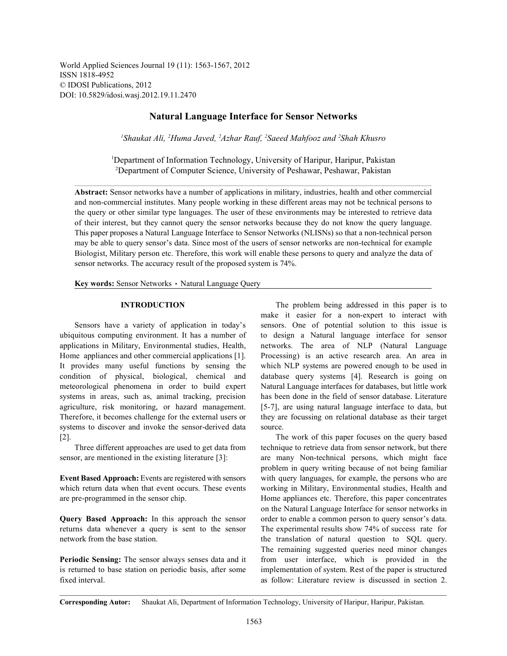World Applied Sciences Journal 19 (11): 1563-1567, 2012 ISSN 1818-4952 © IDOSI Publications, 2012 DOI: 10.5829/idosi.wasj.2012.19.11.2470

## **Natural Language Interface for Sensor Networks**

<sup>1</sup>Shaukat Ali, <sup>2</sup>Huma Javed, <sup>2</sup>Azhar Rauf, <sup>2</sup>Saeed Mahfooz and <sup>2</sup>Shah Khusro

Department of Information Technology, University of Haripur, Haripur, Pakistan <sup>1</sup> <sup>2</sup>Department of Computer Science, University of Peshawar, Peshawar, Pakistan

**Abstract:** Sensor networks have a number of applications in military, industries, health and other commercial and non-commercial institutes. Many people working in these different areas may not be technical persons to the query or other similar type languages. The user of these environments may be interested to retrieve data of their interest, but they cannot query the sensor networks because they do not know the query language. This paper proposes a Natural Language Interface to Sensor Networks (NLISNs) so that a non-technical person may be able to query sensor's data. Since most of the users of sensor networks are non-technical for example Biologist, Military person etc. Therefore, this work will enable these persons to query and analyze the data of sensor networks. The accuracy result of the proposed system is 74%.

Key words: Sensor Networks • Natural Language Query

ubiquitous computing environment. It has a number of to design a Natural language interface for sensor applications in Military, Environmental studies, Health, networks. The area of NLP (Natural Language Home appliances and other commercial applications [1]. Processing) is an active research area. An area in It provides many useful functions by sensing the which NLP systems are powered enough to be used in condition of physical, biological, chemical and database query systems [4]. Research is going on meteorological phenomena in order to build expert Natural Language interfaces for databases, but little work systems in areas, such as, animal tracking, precision has been done in the field of sensor database. Literature agriculture, risk monitoring, or hazard management. [5-7], are using natural language interface to data, but Therefore, it becomes challenge for the external users or they are focussing on relational database as their target systems to discover and invoke the sensor-derived data source. [2]. The work of this paper focuses on the query based

sensor, are mentioned in the existing literature [3]: are many Non-technical persons, which might face

which return data when that event occurs. These events working in Military, Environmental studies, Health and are pre-programmed in the sensor chip. Home appliances etc. Therefore, this paper concentrates

returns data whenever a query is sent to the sensor The experimental results show 74% of success rate for network from the base station. The translation of natural question to SQL query.

is returned to base station on periodic basis, after some implementation of system. Rest of the paper is structured fixed interval. as follow: Literature review is discussed in section 2.

**INTRODUCTION** The problem being addressed in this paper is to Sensors have a variety of application in today's sensors. One of potential solution to this issue is make it easier for a non-expert to interact with

Three different approaches are used to get data from technique to retrieve data from sensor network, but there **Event Based Approach:** Events are registered with sensors with query languages, for example, the persons who are **Query Based Approach:** In this approach the sensor order to enable a common person to query sensor's data. **Periodic Sensing:** The sensor always senses data and it from user interface, which is provided in the problem in query writing because of not being familiar on the Natural Language Interface for sensor networks in The remaining suggested queries need minor changes

**Corresponding Autor:** Shaukat Ali, Department of Information Technology, University of Haripur, Haripur, Pakistan.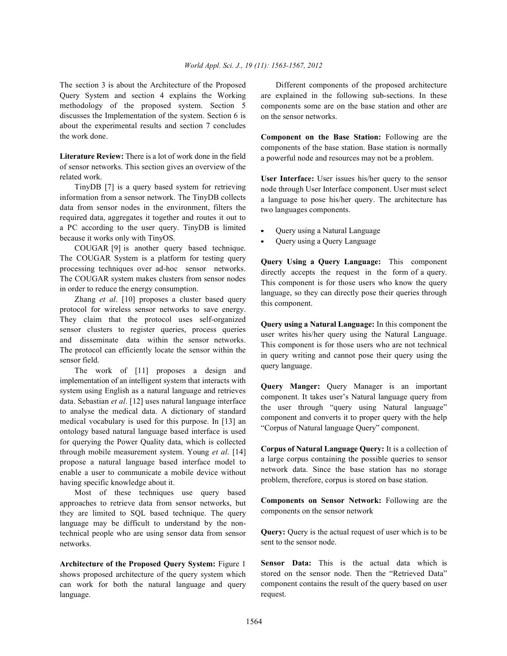Query System and section 4 explains the Working methodology of the proposed system. Section 5 discusses the Implementation of the system. Section 6 is about the experimental results and section 7 concludes the work done.

**Literature Review:** There is a lot of work done in the field of sensor networks. This section gives an overview of the related work.

TinyDB [7] is a query based system for retrieving information from a sensor network. The TinyDB collects data from sensor nodes in the environment, filters the required data, aggregates it together and routes it out to a PC according to the user query. TinyDB is limited because it works only with TinyOS.

COUGAR [9] is another query based technique. The COUGAR System is a platform for testing query processing techniques over ad-hoc sensor networks. The COUGAR system makes clusters from sensor nodes in order to reduce the energy consumption.

Zhang *et al*. [10] proposes a cluster based query protocol for wireless sensor networks to save energy. They claim that the protocol uses self-organized sensor clusters to register queries, process queries and disseminate data within the sensor networks. The protocol can efficiently locate the sensor within the sensor field.

The work of [11] proposes a design and implementation of an intelligent system that interacts with system using English as a natural language and retrieves data. Sebastian *et al*. [12] uses natural language interface to analyse the medical data. A dictionary of standard medical vocabulary is used for this purpose. In [13] an ontology based natural language based interface is used for querying the Power Quality data, which is collected through mobile measurement system. Young *et al*. [14] propose a natural language based interface model to enable a user to communicate a mobile device without having specific knowledge about it.

Most of these techniques use query based approaches to retrieve data from sensor networks, but they are limited to SQL based technique. The query language may be difficult to understand by the nontechnical people who are using sensor data from sensor networks.

**Architecture of the Proposed Query System:** Figure 1 shows proposed architecture of the query system which can work for both the natural language and query language.

The section 3 is about the Architecture of the Proposed Different components of the proposed architecture are explained in the following sub-sections. In these components some are on the base station and other are on the sensor networks.

> **Component on the Base Station:** Following are the components of the base station. Base station is normally a powerful node and resources may not be a problem.

> **User Interface:** User issues his/her query to the sensor node through User Interface component. User must select a language to pose his/her query. The architecture has two languages components.

- Query using a Natural Language
- Query using a Query Language

**Query Using a Query Language:** This component directly accepts the request in the form of a query. This component is for those users who know the query language, so they can directly pose their queries through this component.

**Query using a Natural Language:** In this component the user writes his/her query using the Natural Language. This component is for those users who are not technical in query writing and cannot pose their query using the query language.

**Query Manger:** Query Manager is an important component. It takes user's Natural language query from the user through "query using Natural language" component and converts it to proper query with the help "Corpus of Natural language Query" component.

**Corpus of Natural Language Query:** It is a collection of a large corpus containing the possible queries to sensor network data. Since the base station has no storage problem, therefore, corpus is stored on base station.

**Components on Sensor Network:** Following are the components on the sensor network

**Query:** Query is the actual request of user which is to be sent to the sensor node.

**Sensor Data:** This is the actual data which is stored on the sensor node. Then the "Retrieved Data" component contains the result of the query based on user request.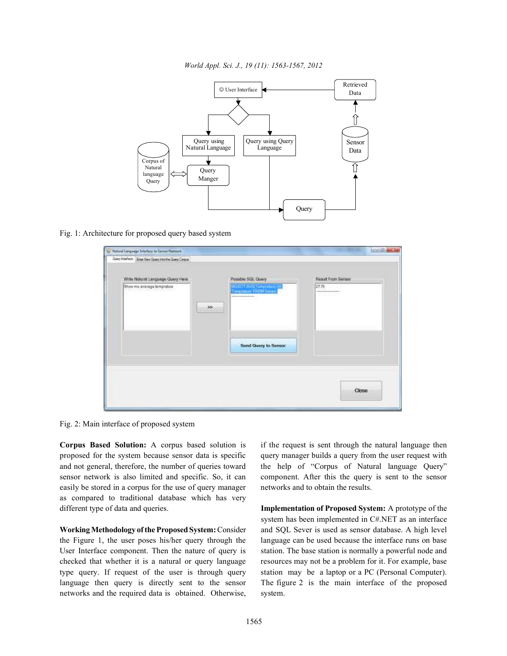*World Appl. Sci. J., 19 (11): 1563-1567, 2012*



Fig. 1: Architecture for proposed query based system

| Write Natural Language Query Here<br>Show me average temprature | Possible SQL Query<br>SELECT AVGCTompraters AS | Result From Sensor<br>27.75<br><b>TECHNOLOGY</b> |
|-----------------------------------------------------------------|------------------------------------------------|--------------------------------------------------|
|                                                                 | 22.                                            |                                                  |
|                                                                 |                                                |                                                  |
|                                                                 | Send Query to Sensor                           |                                                  |
|                                                                 |                                                |                                                  |

Fig. 2: Main interface of proposed system

**Corpus Based Solution:** A corpus based solution is if the request is sent through the natural language then proposed for the system because sensor data is specific query manager builds a query from the user request with and not general, therefore, the number of queries toward the help of "Corpus of Natural language Query" sensor network is also limited and specific. So, it can component. After this the query is sent to the sensor easily be stored in a corpus for the use of query manager networks and to obtain the results. as compared to traditional database which has very different type of data and queries. **Implementation of Proposed System:** A prototype of the

the Figure 1, the user poses his/her query through the language can be used because the interface runs on base User Interface component. Then the nature of query is station. The base station is normally a powerful node and checked that whether it is a natural or query language resources may not be a problem for it. For example, base type query. If request of the user is through query station may be a laptop or a PC (Personal Computer). language then query is directly sent to the sensor The figure 2 is the main interface of the proposed networks and the required data is obtained. Otherwise, system.

**Working Methodology of the Proposed System:** Consider and SQL Sever is used as sensor database. A high level system has been implemented in C#.NET as an interface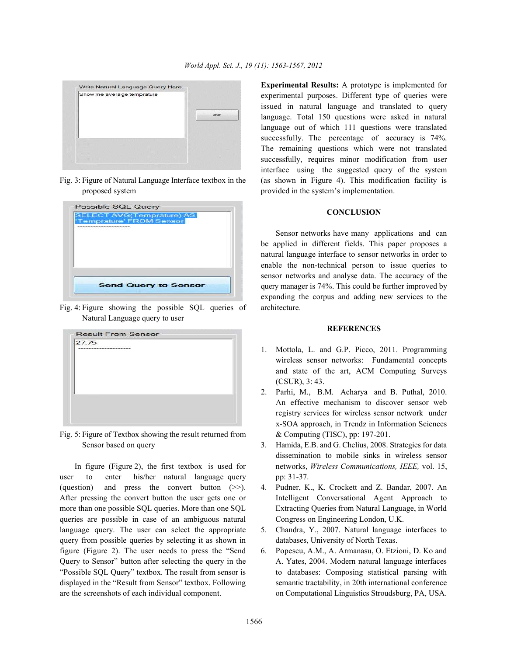

proposed system provided in the system's implementation.

Fig. 4: Figure showing the possible SQL queries of architecture. Natural Language query to user

| 27.75<br>------------------ |  |
|-----------------------------|--|
|                             |  |
|                             |  |
|                             |  |
|                             |  |
|                             |  |
|                             |  |

Sensor based on query 3. Hamida, E.B. and G. Chelius, 2008. Strategies for data

user to enter his/her natural language query pp: 31-37. (question) and press the convert button (>>). 4. Pudner, K., K. Crockett and Z. Bandar, 2007. An After pressing the convert button the user gets one or Intelligent Conversational Agent Approach to more than one possible SQL queries. More than one SQL Extracting Queries from Natural Language, in World queries are possible in case of an ambiguous natural Congress on Engineering London, U.K. language query. The user can select the appropriate 5. Chandra, Y., 2007. Natural language interfaces to query from possible queries by selecting it as shown in databases, University of North Texas. figure (Figure 2). The user needs to press the "Send 6. Popescu, A.M., A. Armanasu, O. Etzioni, D. Ko and Query to Sensor" button after selecting the query in the A. Yates, 2004. Modern natural language interfaces "Possible SQL Query" textbox. The result from sensor is to databases: Composing statistical parsing with displayed in the "Result from Sensor" textbox. Following semantic tractability, in 20th international conference are the screenshots of each individual component. on Computational Linguistics Stroudsburg, PA, USA.

Fig. 3: Figure of Natural Language Interface textbox in the (as shown in Figure 4). This modification facility is **Experimental Results:** A prototype is implemented for experimental purposes. Different type of queries were issued in natural language and translated to query language. Total 150 questions were asked in natural language out of which 111 questions were translated successfully. The percentage of accuracy is 74%. The remaining questions which were not translated successfully, requires minor modification from user interface using the suggested query of the system

## **CONCLUSION**

Sensor networks have many applications and can be applied in different fields. This paper proposes a natural language interface to sensor networks in order to enable the non-technical person to issue queries to sensor networks and analyse data. The accuracy of the query manager is 74%. This could be further improved by expanding the corpus and adding new services to the

## **REFERENCES**

- 1. Mottola, L. and G.P. Picco, 2011. Programming wireless sensor networks: Fundamental concepts and state of the art, ACM Computing Surveys (CSUR), 3: 43.
- Fig. 5: Figure of Textbox showing the result returned from & Computing (TISC), pp: 197-201. 2. Parhi, M., B.M. Acharya and B. Puthal, 2010. An effective mechanism to discover sensor web registry services for wireless sensor network under x-SOA approach, in Trendz in Information Sciences
	- In figure (Figure 2), the first textbox is used for networks, *Wireless Communications, IEEE,* vol. 15, dissemination to mobile sinks in wireless sensor
		-
		-
		-